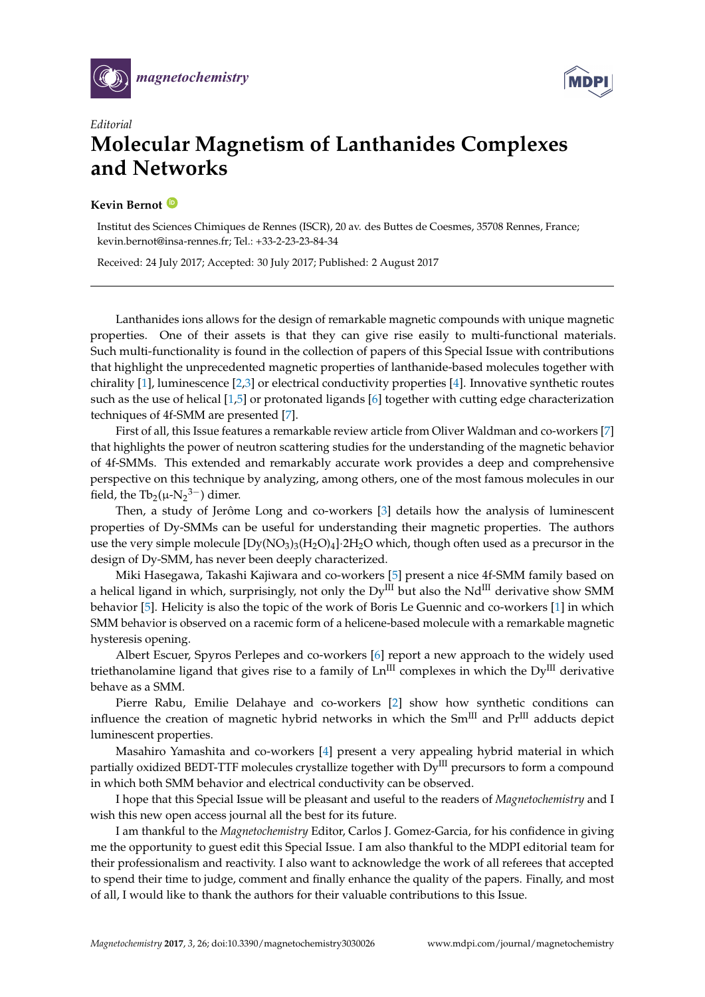



## *Editorial* **Molecular Magnetism of Lanthanides Complexes and Networks**

## **Kevin Bernot [ID](https://orcid.org/0000-0001-8337-6246)**

Institut des Sciences Chimiques de Rennes (ISCR), 20 av. des Buttes de Coesmes, 35708 Rennes, France; kevin.bernot@insa-rennes.fr; Tel.: +33-2-23-23-84-34

Received: 24 July 2017; Accepted: 30 July 2017; Published: 2 August 2017

Lanthanides ions allows for the design of remarkable magnetic compounds with unique magnetic properties. One of their assets is that they can give rise easily to multi-functional materials. Such multi-functionality is found in the collection of papers of this Special Issue with contributions that highlight the unprecedented magnetic properties of lanthanide-based molecules together with chirality  $[1]$ , luminescence  $[2,3]$  $[2,3]$  or electrical conductivity properties  $[4]$ . Innovative synthetic routes such as the use of helical [\[1,](#page-1-0)[5\]](#page-1-4) or protonated ligands [\[6\]](#page-1-5) together with cutting edge characterization techniques of 4f-SMM are presented [\[7\]](#page-1-6).

First of all, this Issue features a remarkable review article from Oliver Waldman and co-workers [\[7\]](#page-1-6) that highlights the power of neutron scattering studies for the understanding of the magnetic behavior of 4f-SMMs. This extended and remarkably accurate work provides a deep and comprehensive perspective on this technique by analyzing, among others, one of the most famous molecules in our field, the  $Tb_2(\mu-N_2^{3-})$  dimer.

Then, a study of Jerôme Long and co-workers [\[3\]](#page-1-2) details how the analysis of luminescent properties of Dy-SMMs can be useful for understanding their magnetic properties. The authors use the very simple molecule  $[Dy(NO<sub>3</sub>)<sub>3</sub>(H<sub>2</sub>O<sub>4</sub>]<sup>2</sup>2H<sub>2</sub>O$  which, though often used as a precursor in the design of Dy-SMM, has never been deeply characterized.

Miki Hasegawa, Takashi Kajiwara and co-workers [\[5\]](#page-1-4) present a nice 4f-SMM family based on a helical ligand in which, surprisingly, not only the  $Dy^{III}$  but also the Nd<sup>III</sup> derivative show SMM behavior [\[5\]](#page-1-4). Helicity is also the topic of the work of Boris Le Guennic and co-workers [\[1\]](#page-1-0) in which SMM behavior is observed on a racemic form of a helicene-based molecule with a remarkable magnetic hysteresis opening.

Albert Escuer, Spyros Perlepes and co-workers [\[6\]](#page-1-5) report a new approach to the widely used triethanolamine ligand that gives rise to a family of  $Ln^{III}$  complexes in which the  $Dy^{III}$  derivative behave as a SMM.

Pierre Rabu, Emilie Delahaye and co-workers [\[2\]](#page-1-1) show how synthetic conditions can influence the creation of magnetic hybrid networks in which the  $Sm^{III}$  and  $Pr^{III}$  adducts depict luminescent properties.

Masahiro Yamashita and co-workers [\[4\]](#page-1-3) present a very appealing hybrid material in which partially oxidized BEDT-TTF molecules crystallize together with Dy<sup>III</sup> precursors to form a compound in which both SMM behavior and electrical conductivity can be observed.

I hope that this Special Issue will be pleasant and useful to the readers of *Magnetochemistry* and I wish this new open access journal all the best for its future.

I am thankful to the *Magnetochemistry* Editor, Carlos J. Gomez-Garcia, for his confidence in giving me the opportunity to guest edit this Special Issue. I am also thankful to the MDPI editorial team for their professionalism and reactivity. I also want to acknowledge the work of all referees that accepted to spend their time to judge, comment and finally enhance the quality of the papers. Finally, and most of all, I would like to thank the authors for their valuable contributions to this Issue.